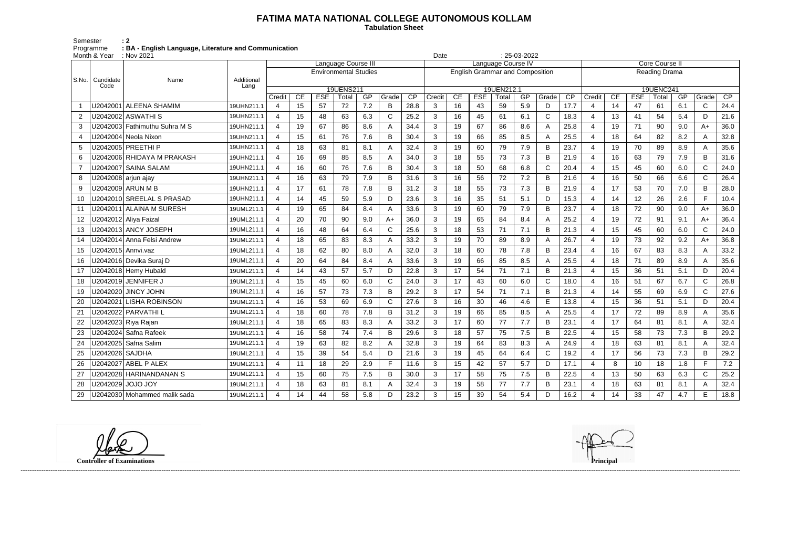## **FATIMA MATA NATIONAL COLLEGE AUTONOMOUS KOLLAM**

 **Tabulation Sheet** 

Semester : 2 Programme **: BA - English Language, Literature and Communication**

|                | Month & Year    | : Nov 2021                    |            |                              |                                                                    |            |       |     |       |      |                                        | $: 25-03-2022$<br>Date |            |       |     |             |                 |                |           |            |       |     |              |      |
|----------------|-----------------|-------------------------------|------------|------------------------------|--------------------------------------------------------------------|------------|-------|-----|-------|------|----------------------------------------|------------------------|------------|-------|-----|-------------|-----------------|----------------|-----------|------------|-------|-----|--------------|------|
|                |                 | Name                          |            |                              | <b>Core Course II</b><br>Language Course III<br>Language Course IV |            |       |     |       |      |                                        |                        |            |       |     |             |                 |                |           |            |       |     |              |      |
| S.No.          |                 |                               |            | <b>Environmental Studies</b> |                                                                    |            |       |     |       |      | <b>English Grammar and Composition</b> |                        |            |       |     |             |                 | Reading Drama  |           |            |       |     |              |      |
|                | Candidate       |                               | Additional |                              |                                                                    |            |       |     |       |      |                                        |                        |            |       |     |             |                 |                |           |            |       |     |              |      |
|                | Code            |                               | Lang       | 19UENS211                    |                                                                    |            |       |     |       |      |                                        | 19UEN212.1             |            |       |     |             |                 |                | 19UENC241 |            |       |     |              |      |
|                |                 |                               |            | Credit                       | CE                                                                 | <b>ESE</b> | Total | GP  | Grade | CP   | Credit                                 | CE                     | <b>ESE</b> | Total | GP  | Grade       | $\overline{CP}$ | Credit         | CE        | <b>ESE</b> | Total | GP  | Grade        | CP   |
|                |                 | U2042001   ALEENA SHAMIM      | 19UHN211.1 | $\overline{4}$               | 15                                                                 | 57         | 72    | 7.2 | B     | 28.8 | 3                                      | 16                     | 43         | 59    | 5.9 | D           | 17.7            | $\overline{4}$ | 14        | 47         | 61    | 6.1 | $\mathsf{C}$ | 24.4 |
| 2              |                 | U2042002   ASWATHI S          | 19UHN211.1 | $\overline{a}$               | 15                                                                 | 48         | 63    | 6.3 | С     | 25.2 | 3                                      | 16                     | 45         | 61    | 6.1 | $\mathsf C$ | 18.3            | 4              | 13        | 41         | 54    | 5.4 | D            | 21.6 |
| 3              |                 | U2042003 Fathimuthu Suhra M S | 19UHN211.1 | 4                            | 19                                                                 | 67         | 86    | 8.6 | Α     | 34.4 | 3                                      | 19                     | 67         | 86    | 8.6 | A           | 25.8            | 4              | 19        | 71         | 90    | 9.0 | $A+$         | 36.0 |
| 4              |                 | U2042004   Neola Nixon        | 19UHN211.1 | 4                            | 15                                                                 | 61         | 76    | 7.6 | В     | 30.4 | 3                                      | 19                     | 66         | 85    | 8.5 | A           | 25.5            | 4              | 18        | 64         | 82    | 8.2 | A            | 32.8 |
| 5              |                 | U2042005 PREETHI P            | 19UHN211.1 | 4                            | 18                                                                 | 63         | 81    | 8.1 |       | 32.4 | 3                                      | 19                     | 60         | 79    | 7.9 | B           | 23.7            | $\overline{4}$ | 19        | 70         | 89    | 8.9 | A            | 35.6 |
| 6              |                 | U2042006 RHIDAYA M PRAKASH    | 19UHN211.1 | 4                            | 16                                                                 | 69         | 85    | 8.5 |       | 34.0 | 3                                      | 18                     | 55         | 73    | 7.3 | B           | 21.9            | $\overline{4}$ | 16        | 63         | 79    | 7.9 | B            | 31.6 |
| $\overline{7}$ |                 | U2042007 SAINA SALAM          | 19UHN211.1 | $\overline{a}$               | 16                                                                 | 60         | 76    | 7.6 | B     | 30.4 | 3                                      | 18                     | 50         | 68    | 6.8 | C           | 20.4            | $\overline{4}$ | 15        | 45         | 60    | 6.0 | $\mathsf{C}$ | 24.0 |
| 8              |                 | U2042008 arjun ajay           | 19UHN211.1 | 4                            | 16                                                                 | 63         | 79    | 7.9 | B     | 31.6 | 3                                      | 16                     | 56         | 72    | 7.2 | B           | 21.6            | $\overline{4}$ | 16        | 50         | 66    | 6.6 | $\mathsf{C}$ | 26.4 |
| 9              |                 | U2042009 ARUN M B             | 19UHN211.1 | 4                            | 17                                                                 | 61         | 78    | 7.8 | B     | 31.2 | 3                                      | 18                     | 55         | 73    | 7.3 | B           | 21.9            | $\overline{4}$ | 17        | 53         | 70    | 7.0 | B            | 28.0 |
| 10             |                 | U2042010 SREELAL S PRASAD     | 19UHN211.1 | 4                            | 14                                                                 | 45         | 59    | 5.9 | D     | 23.6 | 3                                      | 16                     | 35         | 51    | 5.1 | D           | 15.3            | $\overline{4}$ | 14        | 12         | 26    | 2.6 | F            | 10.4 |
| 11             |                 | U2042011 ALAINA M SURESH      | 19UML211.1 | 4                            | 19                                                                 | 65         | 84    | 8.4 |       | 33.6 | 3                                      | 19                     | 60         | 79    | 7.9 | B           | 23.7            | $\overline{4}$ | 18        | 72         | 90    | 9.0 | $A+$         | 36.0 |
| 12             |                 | U2042012 Aliya Faizal         | 19UML211.1 | 4                            | 20                                                                 | 70         | 90    | 9.0 | $A+$  | 36.0 | 3                                      | 19                     | 65         | 84    | 8.4 | A           | 25.2            | $\overline{4}$ | 19        | 72         | 91    | 9.1 | $A+$         | 36.4 |
| 13             |                 | U2042013 ANCY JOSEPH          | 19UML211.1 | 4                            | 16                                                                 | 48         | 64    | 6.4 | C.    | 25.6 | 3                                      | 18                     | 53         | 71    | 7.1 | B           | 21.3            | $\overline{4}$ | 15        | 45         | 60    | 6.0 | $\mathsf C$  | 24.0 |
| 14             |                 | U2042014 Anna Felsi Andrew    | 19UML211.1 | 4                            | 18                                                                 | 65         | 83    | 8.3 | A     | 33.2 | 3                                      | 19                     | 70         | 89    | 8.9 | A           | 26.7            | $\overline{4}$ | 19        | 73         | 92    | 9.2 | $A+$         | 36.8 |
| 15             |                 | U2042015 Annvi.vaz            | 19UML211.1 | 4                            | 18                                                                 | 62         | 80    | 8.0 |       | 32.0 | 3                                      | 18                     | 60         | 78    | 7.8 | B           | 23.4            | $\overline{4}$ | 16        | 67         | 83    | 8.3 | A            | 33.2 |
| 16             |                 | U2042016 Devika Suraj D       | 19UML211.1 | 4                            | 20                                                                 | 64         | 84    | 8.4 |       | 33.6 | 3                                      | 19                     | 66         | 85    | 8.5 | A           | 25.5            | $\overline{4}$ | 18        | 71         | 89    | 8.9 | A            | 35.6 |
| 17             |                 | U2042018 Hemy Hubald          | 19UML211.1 | 4                            | 14                                                                 | 43         | 57    | 5.7 | D     | 22.8 | 3                                      | 17                     | 54         | 71    | 7.1 | B           | 21.3            | $\overline{4}$ | 15        | 36         | 51    | 5.1 | D            | 20.4 |
| 18             |                 | U2042019 JENNIFER J           | 19UML211.1 | 4                            | 15                                                                 | 45         | 60    | 6.0 | C     | 24.0 | 3                                      | 17                     | 43         | 60    | 6.0 | $\mathsf C$ | 18.0            | $\overline{4}$ | 16        | 51         | 67    | 6.7 | $\mathsf{C}$ | 26.8 |
| 19             |                 | U2042020 JINCY JOHN           | 19UML211.1 | 4                            | 16                                                                 | 57         | 73    | 7.3 | B     | 29.2 | 3                                      | 17                     | 54         | 71    | 7.1 | B           | 21.3            | $\overline{4}$ | 14        | 55         | 69    | 6.9 | $\mathsf{C}$ | 27.6 |
| 20             |                 | U2042021 LISHA ROBINSON       | 19UML211.1 | 4                            | 16                                                                 | 53         | 69    | 6.9 | C     | 27.6 | 3                                      | 16                     | 30         | 46    | 4.6 | E           | 13.8            | 4              | 15        | 36         | 51    | 5.1 | D            | 20.4 |
| 21             |                 | U2042022 PARVATHI L           | 19UML211.1 | 4                            | 18                                                                 | 60         | 78    | 7.8 | B     | 31.2 | 3                                      | 19                     | 66         | 85    | 8.5 | A           | 25.5            | $\overline{4}$ | 17        | 72         | 89    | 8.9 | A            | 35.6 |
| 22             |                 | U2042023 Riya Rajan           | 19UML211.1 | 4                            | 18                                                                 | 65         | 83    | 8.3 |       | 33.2 | 3                                      | 17                     | 60         | 77    | 7.7 | B           | 23.1            | $\overline{4}$ | 17        | 64         | 81    | 8.1 | A            | 32.4 |
| 23             |                 | U2042024 Safna Rafeek         | 19UML211.1 | 4                            | 16                                                                 | 58         | 74    | 7.4 | B     | 29.6 | 3                                      | 18                     | 57         | 75    | 7.5 | B           | 22.5            | 4              | 15        | 58         | 73    | 7.3 | B            | 29.2 |
| 24             |                 | U2042025 Safna Salim          | 19UML211.1 | 4                            | 19                                                                 | 63         | 82    | 8.2 |       | 32.8 | 3                                      | 19                     | 64         | 83    | 8.3 | A           | 24.9            | $\overline{4}$ | 18        | 63         | 81    | 8.1 |              | 32.4 |
| 25             | U2042026 SAJDHA |                               | 19UML211.1 | 4                            | 15                                                                 | 39         | 54    | 5.4 | D     | 21.6 | 3                                      | 19                     | 45         | 64    | 6.4 | C           | 19.2            | 4              | 17        | 56         | 73    | 7.3 | В            | 29.2 |
| 26             |                 | U2042027 ABEL P ALEX          | 19UML211.1 | 4                            | 11                                                                 | 18         | 29    | 2.9 |       | 11.6 | 3                                      | 15                     | 42         | 57    | 5.7 | D           | 17.1            | 4              | 8         | 10         | 18    | 1.8 | F.           | 7.2  |
| 27             |                 | U2042028 HARINANDANAN S       | 19UML211.1 | 4                            | 15                                                                 | 60         | 75    | 7.5 | B     | 30.0 | 3                                      | 17                     | 58         | 75    | 7.5 | B           | 22.5            | 4              | 13        | 50         | 63    | 6.3 | $\mathsf{C}$ | 25.2 |
| 28             |                 | U2042029 JOJO JOY             | 19UML211.1 | 4                            | 18                                                                 | 63         | 81    | 8.1 | A     | 32.4 | 3                                      | 19                     | 58         | 77    | 7.7 | B           | 23.1            | $\overline{4}$ | 18        | 63         | 81    | 8.1 | A            | 32.4 |
| 29             |                 | U2042030 Mohammed malik sada  | 19UML211.1 | 4                            | 14                                                                 | 44         | 58    | 5.8 | D     | 23.2 | 3                                      | 15                     | 39         | 54    | 5.4 | D           | 16.2            | $\overline{4}$ | 14        | 33         | 47    | 4.7 | E            | 18.8 |

**Controller of Examinations** 

------------------------------------------------------------------------------------------------------------------------------------------------------------------------------------------------------------------------------------------------------------------------------------------------------------------------------------------------------------------------------------------------------------------------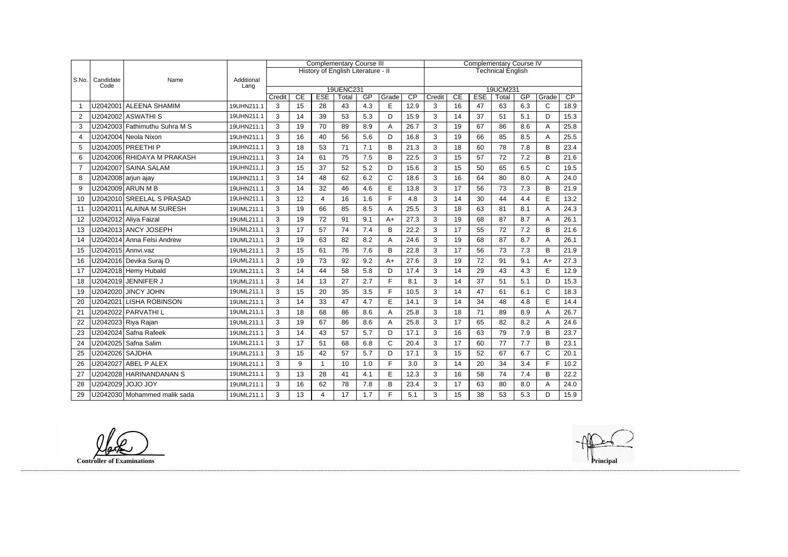|                  |                   |                               |            |        |    |                                    | <b>Complementary Course III</b> |     |              | <b>Complementary Course IV</b> |          |                 |            |       |     |              |                 |  |
|------------------|-------------------|-------------------------------|------------|--------|----|------------------------------------|---------------------------------|-----|--------------|--------------------------------|----------|-----------------|------------|-------|-----|--------------|-----------------|--|
|                  |                   |                               |            |        |    | History of English Literature - II |                                 |     |              | <b>Technical English</b>       |          |                 |            |       |     |              |                 |  |
| S.No.            | Candidate<br>Code | Name                          |            |        |    |                                    |                                 |     |              |                                |          |                 |            |       |     |              |                 |  |
|                  |                   | Lang                          | 19UENC231  |        |    |                                    |                                 |     |              |                                | 19UCM231 |                 |            |       |     |              |                 |  |
|                  |                   |                               |            | Credit | CE | <b>ESE</b>                         | Total                           | GP  | Grade        | $\overline{CP}$                | Credit   | $\overline{CE}$ | <b>ESE</b> | Total | GP  | Grade        | $\overline{CP}$ |  |
| -1               |                   | U2042001 ALEENA SHAMIM        | 19UHN211.1 | 3      | 15 | 28                                 | 43                              | 4.3 | E            | 12.9                           | 3        | 16              | 47         | 63    | 6.3 | $\mathsf{C}$ | 18.9            |  |
| $\overline{2}$   |                   | U2042002 ASWATHI S            | 19UHN211.1 | 3      | 14 | 39                                 | 53                              | 5.3 | D            | 15.9                           | 3        | 14              | 37         | 51    | 5.1 | D            | 15.3            |  |
| 3                |                   | U2042003 Fathimuthu Suhra M S | 19UHN211.1 | 3      | 19 | 70                                 | 89                              | 8.9 | A            | 26.7                           | 3        | 19              | 67         | 86    | 8.6 | Α            | 25.8            |  |
| $\boldsymbol{4}$ |                   | U2042004 Neola Nixon          | 19UHN211.1 | 3      | 16 | 40                                 | 56                              | 5.6 | D            | 16.8                           | 3        | 19              | 66         | 85    | 8.5 | A            | 25.5            |  |
| 5                |                   | U2042005 PREETHI P            | 19UHN211.1 | 3      | 18 | 53                                 | 71                              | 7.1 | B            | 21.3                           | 3        | 18              | 60         | 78    | 7.8 | B            | 23.4            |  |
| 6                |                   | U2042006 RHIDAYA M PRAKASH    | 19UHN211.1 | 3      | 14 | 61                                 | 75                              | 7.5 | B            | 22.5                           | 3        | 15              | 57         | 72    | 7.2 | B            | 21.6            |  |
| $\overline{7}$   |                   | U2042007 SAINA SALAM          | 19UHN211.1 | 3      | 15 | 37                                 | 52                              | 5.2 | D            | 15.6                           | 3        | 15              | 50         | 65    | 6.5 | $\mathbf C$  | 19.5            |  |
| 8                |                   | U2042008 arjun ajay           | 19UHN211.1 | 3      | 14 | 48                                 | 62                              | 6.2 | $\mathsf{C}$ | 18.6                           | 3        | 16              | 64         | 80    | 8.0 | A            | 24.0            |  |
| 9                |                   | U2042009 ARUN M B             | 19UHN211.1 | 3      | 14 | 32                                 | 46                              | 4.6 | E            | 13.8                           | 3        | 17              | 56         | 73    | 7.3 | B            | 21.9            |  |
| 10               |                   | U2042010 SREELAL S PRASAD     | 19UHN211.1 | 3      | 12 | 4                                  | 16                              | 1.6 | F            | 4.8                            | 3        | 14              | 30         | 44    | 4.4 | E            | 13.2            |  |
| 11               |                   | U2042011 ALAINA M SURESH      | 19UML211.1 | 3      | 19 | 66                                 | 85                              | 8.5 | A            | 25.5                           | 3        | 18              | 63         | 81    | 8.1 | A            | 24.3            |  |
| 12               |                   | U2042012 Aliya Faizal         | 19UML211.1 | 3      | 19 | 72                                 | 91                              | 9.1 | $A+$         | 27.3                           | 3        | 19              | 68         | 87    | 8.7 | Α            | 26.1            |  |
| 13               |                   | U2042013 ANCY JOSEPH          | 19UML211.1 | 3      | 17 | 57                                 | 74                              | 7.4 | B            | 22.2                           | 3        | 17              | 55         | 72    | 7.2 | B            | 21.6            |  |
| 14               |                   | U2042014 Anna Felsi Andrew    | 19UML211.1 | 3      | 19 | 63                                 | 82                              | 8.2 | A            | 24.6                           | 3        | 19              | 68         | 87    | 8.7 | Α            | 26.1            |  |
| 15               |                   | U2042015 Annvi.vaz            | 19UML211.1 | 3      | 15 | 61                                 | 76                              | 7.6 | B            | 22.8                           | 3        | 17              | 56         | 73    | 7.3 | B            | 21.9            |  |
| 16               |                   | U2042016 Devika Suraj D       | 19UML211.1 | 3      | 19 | 73                                 | 92                              | 9.2 | $A+$         | 27.6                           | 3        | 19              | 72         | 91    | 9.1 | $A+$         | 27.3            |  |
| 17               |                   | U2042018 Hemy Hubald          | 19UML211.1 | 3      | 14 | 44                                 | 58                              | 5.8 | D            | 17.4                           | 3        | 14              | 29         | 43    | 4.3 | $\mathsf E$  | 12.9            |  |
| 18               |                   | U2042019 JENNIFER J           | 19UML211.1 | 3      | 14 | 13                                 | 27                              | 2.7 | F.           | 8.1                            | 3        | 14              | 37         | 51    | 5.1 | D            | 15.3            |  |
| 19               |                   | U2042020 JINCY JOHN           | 19UML211.1 | 3      | 15 | 20                                 | 35                              | 3.5 | F.           | 10.5                           | 3        | 14              | 47         | 61    | 6.1 | $\mathsf{C}$ | 18.3            |  |
| 20               |                   | U2042021 LISHA ROBINSON       | 19UML211.1 | 3      | 14 | 33                                 | 47                              | 4.7 | E            | 14.1                           | 3        | 14              | 34         | 48    | 4.8 | E            | 14.4            |  |
| 21               |                   | U2042022 PARVATHI L           | 19UML211.1 | 3      | 18 | 68                                 | 86                              | 8.6 | A            | 25.8                           | 3        | 18              | 71         | 89    | 8.9 | A            | 26.7            |  |
| 22               |                   | U2042023 Riya Rajan           | 19UML211.1 | 3      | 19 | 67                                 | 86                              | 8.6 | A            | 25.8                           | 3        | 17              | 65         | 82    | 8.2 | A            | 24.6            |  |
| 23               |                   | U2042024 Safna Rafeek         | 19UML211.1 | 3      | 14 | 43                                 | 57                              | 5.7 | D            | 17.1                           | 3        | 16              | 63         | 79    | 7.9 | B            | 23.7            |  |
| 24               |                   | U2042025 Safna Salim          | 19UML211.1 | 3      | 17 | 51                                 | 68                              | 6.8 | $\mathsf{C}$ | 20.4                           | 3        | 17              | 60         | 77    | 7.7 | B            | 23.1            |  |
| 25               | U2042026 SAJDHA   |                               | 19UML211.1 | 3      | 15 | 42                                 | 57                              | 5.7 | D            | 17.1                           | 3        | 15              | 52         | 67    | 6.7 | $\mathsf{C}$ | 20.1            |  |
| 26               |                   | U2042027 ABEL P ALEX          | 19UML211.1 | 3      | 9  | $\mathbf{1}$                       | 10                              | 1.0 | F            | 3.0                            | 3        | 14              | 20         | 34    | 3.4 | F            | 10.2            |  |
| 27               |                   | U2042028 HARINANDANAN S       | 19UML211.1 | 3      | 13 | 28                                 | 41                              | 4.1 | E            | 12.3                           | 3        | 16              | 58         | 74    | 7.4 | B            | 22.2            |  |
| 28               |                   | U2042029 JOJO JOY             | 19UML211.1 | 3      | 16 | 62                                 | 78                              | 7.8 | B            | 23.4                           | 3        | 17              | 63         | 80    | 8.0 | A            | 24.0            |  |
| 29               |                   | U2042030 Mohammed malik sada  | 19UML211.1 | 3      | 13 | 4                                  | 17                              | 1.7 | E            | 5.1                            | 3        | 15              | 38         | 53    | 5.3 | D            | 15.9            |  |

**Controller of Examinations** 

------------------------------------------------------------------------------------------------------------------------------------------------------------------------------------------------------------------------------------------------------------------------------------------------------------------------------------------------------------------------------------------------------------------------